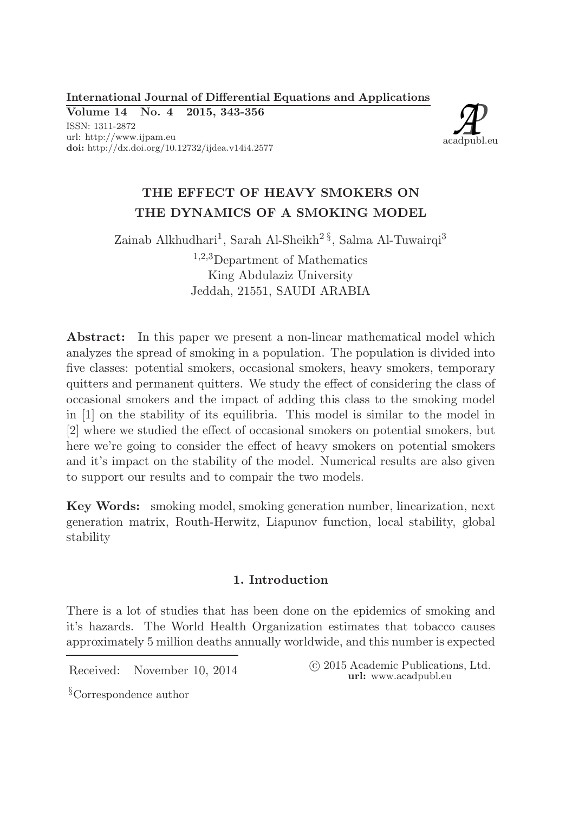International Journal of Differential Equations and Applications

Volume 14 No. 4 2015, 343-356 ISSN: 1311-2872 url: http://www.ijpam.eu doi: http://dx.doi.org/10.12732/ijdea.v14i4.2577



# THE EFFECT OF HEAVY SMOKERS ON THE DYNAMICS OF A SMOKING MODEL

Zainab Alkhudhari<sup>1</sup>, Sarah Al-Sheikh<sup>2 $\S$ </sup>, Salma Al-Tuwairqi<sup>3</sup>

<sup>1</sup>,2,3Department of Mathematics King Abdulaziz University Jeddah, 21551, SAUDI ARABIA

Abstract: In this paper we present a non-linear mathematical model which analyzes the spread of smoking in a population. The population is divided into five classes: potential smokers, occasional smokers, heavy smokers, temporary quitters and permanent quitters. We study the effect of considering the class of occasional smokers and the impact of adding this class to the smoking model in [1] on the stability of its equilibria. This model is similar to the model in [2] where we studied the effect of occasional smokers on potential smokers, but here we're going to consider the effect of heavy smokers on potential smokers and it's impact on the stability of the model. Numerical results are also given to support our results and to compair the two models.

Key Words: smoking model, smoking generation number, linearization, next generation matrix, Routh-Herwitz, Liapunov function, local stability, global stability

# 1. Introduction

There is a lot of studies that has been done on the epidemics of smoking and it's hazards. The World Health Organization estimates that tobacco causes approximately 5 million deaths annually worldwide, and this number is expected

Received: November 10, 2014 
C 2015 Academic Publications, Ltd. url: www.acadpubl.eu

§Correspondence author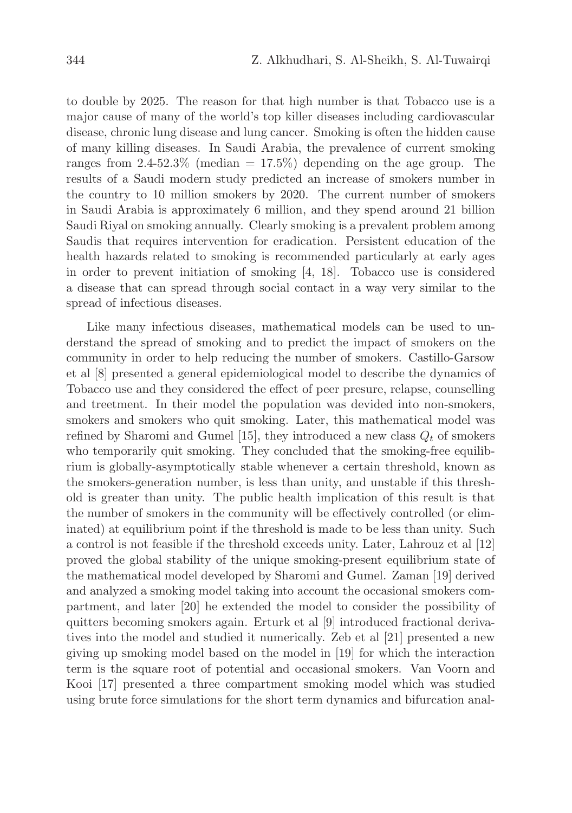to double by 2025. The reason for that high number is that Tobacco use is a major cause of many of the world's top killer diseases including cardiovascular disease, chronic lung disease and lung cancer. Smoking is often the hidden cause of many killing diseases. In Saudi Arabia, the prevalence of current smoking ranges from  $2.4{\text -}52.3\%$  (median = 17.5%) depending on the age group. The results of a Saudi modern study predicted an increase of smokers number in the country to 10 million smokers by 2020. The current number of smokers in Saudi Arabia is approximately 6 million, and they spend around 21 billion Saudi Riyal on smoking annually. Clearly smoking is a prevalent problem among Saudis that requires intervention for eradication. Persistent education of the health hazards related to smoking is recommended particularly at early ages in order to prevent initiation of smoking [4, 18]. Tobacco use is considered a disease that can spread through social contact in a way very similar to the spread of infectious diseases.

Like many infectious diseases, mathematical models can be used to understand the spread of smoking and to predict the impact of smokers on the community in order to help reducing the number of smokers. Castillo-Garsow et al [8] presented a general epidemiological model to describe the dynamics of Tobacco use and they considered the effect of peer presure, relapse, counselling and treetment. In their model the population was devided into non-smokers, smokers and smokers who quit smoking. Later, this mathematical model was refined by Sharomi and Gumel [15], they introduced a new class  $Q_t$  of smokers who temporarily quit smoking. They concluded that the smoking-free equilibrium is globally-asymptotically stable whenever a certain threshold, known as the smokers-generation number, is less than unity, and unstable if this threshold is greater than unity. The public health implication of this result is that the number of smokers in the community will be effectively controlled (or eliminated) at equilibrium point if the threshold is made to be less than unity. Such a control is not feasible if the threshold exceeds unity. Later, Lahrouz et al [12] proved the global stability of the unique smoking-present equilibrium state of the mathematical model developed by Sharomi and Gumel. Zaman [19] derived and analyzed a smoking model taking into account the occasional smokers compartment, and later [20] he extended the model to consider the possibility of quitters becoming smokers again. Erturk et al [9] introduced fractional derivatives into the model and studied it numerically. Zeb et al [21] presented a new giving up smoking model based on the model in [19] for which the interaction term is the square root of potential and occasional smokers. Van Voorn and Kooi [17] presented a three compartment smoking model which was studied using brute force simulations for the short term dynamics and bifurcation anal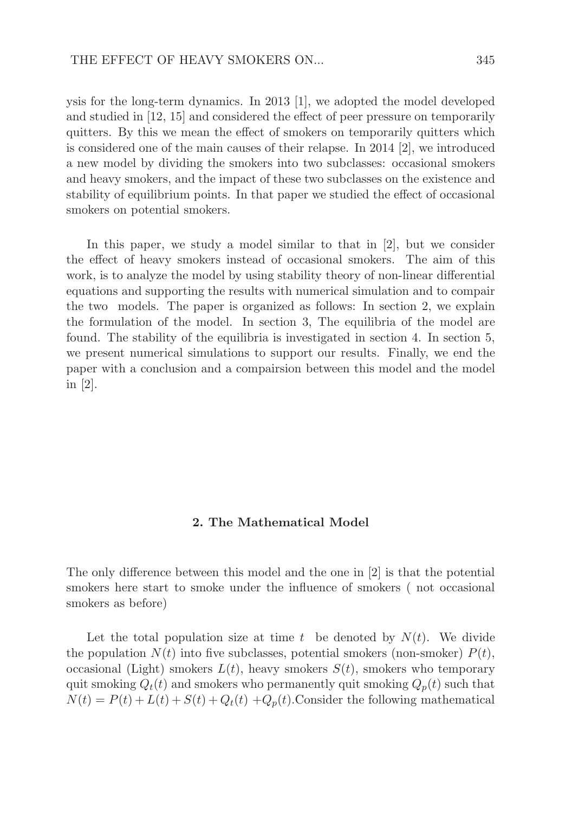ysis for the long-term dynamics. In 2013 [1], we adopted the model developed and studied in [12, 15] and considered the effect of peer pressure on temporarily quitters. By this we mean the effect of smokers on temporarily quitters which is considered one of the main causes of their relapse. In 2014 [2], we introduced a new model by dividing the smokers into two subclasses: occasional smokers and heavy smokers, and the impact of these two subclasses on the existence and stability of equilibrium points. In that paper we studied the effect of occasional smokers on potential smokers.

In this paper, we study a model similar to that in [2], but we consider the effect of heavy smokers instead of occasional smokers. The aim of this work, is to analyze the model by using stability theory of non-linear differential equations and supporting the results with numerical simulation and to compair the two models. The paper is organized as follows: In section 2, we explain the formulation of the model. In section 3, The equilibria of the model are found. The stability of the equilibria is investigated in section 4. In section 5, we present numerical simulations to support our results. Finally, we end the paper with a conclusion and a compairsion between this model and the model in  $|2|$ .

#### 2. The Mathematical Model

The only difference between this model and the one in [2] is that the potential smokers here start to smoke under the influence of smokers ( not occasional smokers as before)

Let the total population size at time t be denoted by  $N(t)$ . We divide the population  $N(t)$  into five subclasses, potential smokers (non-smoker)  $P(t)$ , occasional (Light) smokers  $L(t)$ , heavy smokers  $S(t)$ , smokers who temporary quit smoking  $Q_t(t)$  and smokers who permanently quit smoking  $Q_p(t)$  such that  $N(t) = P(t) + L(t) + S(t) + Q_t(t) + Q_p(t)$ . Consider the following mathematical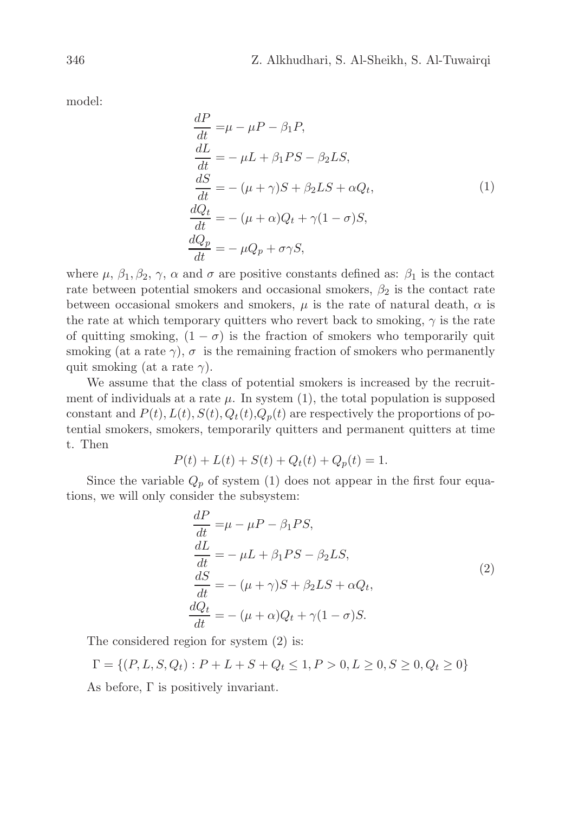model:

$$
\frac{dP}{dt} = \mu - \mu - \beta_1 P,
$$
\n
$$
\frac{dL}{dt} = -\mu L + \beta_1 PS - \beta_2 LS,
$$
\n
$$
\frac{dS}{dt} = -(\mu + \gamma)S + \beta_2 LS + \alpha Q_t,
$$
\n
$$
\frac{dQ_t}{dt} = -(\mu + \alpha)Q_t + \gamma(1 - \sigma)S,
$$
\n
$$
\frac{dQ_p}{dt} = -\mu Q_p + \sigma \gamma S,
$$
\n(1)

where  $\mu$ ,  $\beta_1$ ,  $\beta_2$ ,  $\gamma$ ,  $\alpha$  and  $\sigma$  are positive constants defined as:  $\beta_1$  is the contact rate between potential smokers and occasional smokers,  $\beta_2$  is the contact rate between occasional smokers and smokers,  $\mu$  is the rate of natural death,  $\alpha$  is the rate at which temporary quitters who revert back to smoking,  $\gamma$  is the rate of quitting smoking,  $(1 - \sigma)$  is the fraction of smokers who temporarily quit smoking (at a rate  $\gamma$ ),  $\sigma$  is the remaining fraction of smokers who permanently quit smoking (at a rate  $\gamma$ ).

We assume that the class of potential smokers is increased by the recruitment of individuals at a rate  $\mu$ . In system (1), the total population is supposed constant and  $P(t)$ ,  $L(t)$ ,  $S(t)$ ,  $Q_t(t)$ ,  $Q_p(t)$  are respectively the proportions of potential smokers, smokers, temporarily quitters and permanent quitters at time t. Then

$$
P(t) + L(t) + S(t) + Q_t(t) + Q_p(t) = 1.
$$

Since the variable  $Q_p$  of system (1) does not appear in the first four equations, we will only consider the subsystem:

$$
\frac{dP}{dt} = \mu - \mu - \beta_1 PS,
$$
\n
$$
\frac{dL}{dt} = -\mu L + \beta_1 PS - \beta_2 LS,
$$
\n
$$
\frac{dS}{dt} = -(\mu + \gamma)S + \beta_2 LS + \alpha Q_t,
$$
\n
$$
\frac{dQ_t}{dt} = -(\mu + \alpha)Q_t + \gamma(1 - \sigma)S.
$$
\n(2)

The considered region for system (2) is:

$$
\Gamma = \{ (P, L, S, Q_t) : P + L + S + Q_t \le 1, P > 0, L \ge 0, S \ge 0, Q_t \ge 0 \}
$$

As before,  $\Gamma$  is positively invariant.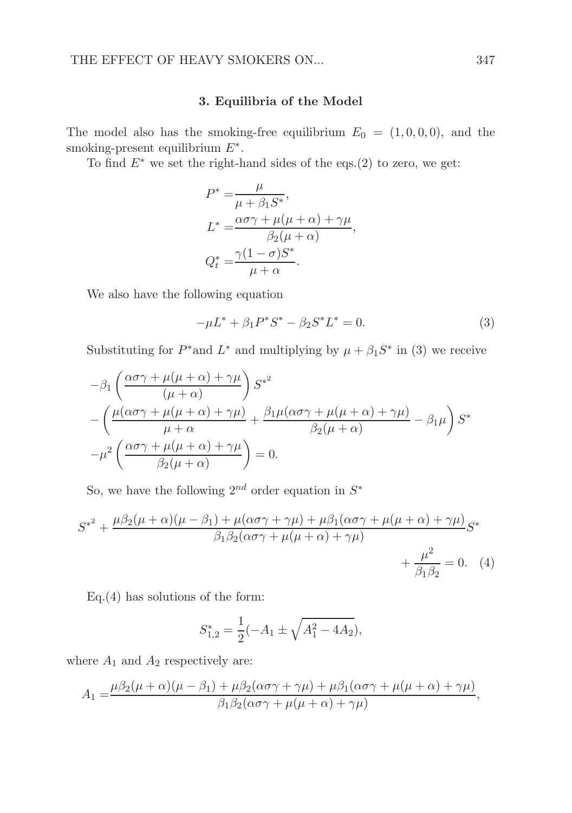#### 3. Equilibria of the Model

The model also has the smoking-free equilibrium  $E_0 = (1, 0, 0, 0)$ , and the smoking-present equilibrium  $E^*$ .

To find  $E^*$  we set the right-hand sides of the eqs.(2) to zero, we get:

$$
P^* = \frac{\mu}{\mu + \beta_1 S^*},
$$
  
\n
$$
L^* = \frac{\alpha \sigma \gamma + \mu(\mu + \alpha) + \gamma \mu}{\beta_2 (\mu + \alpha)},
$$
  
\n
$$
Q_t^* = \frac{\gamma (1 - \sigma) S^*}{\mu + \alpha}.
$$

We also have the following equation

$$
-\mu L^* + \beta_1 P^* S^* - \beta_2 S^* L^* = 0.
$$
\n(3)

Substituting for  $P^*$  and  $L^*$  and multiplying by  $\mu + \beta_1 S^*$  in (3) we receive

$$
-\beta_1 \left( \frac{\alpha \sigma \gamma + \mu(\mu + \alpha) + \gamma \mu}{(\mu + \alpha)} \right) S^{*^2}
$$
  
 
$$
-\left( \frac{\mu(\alpha \sigma \gamma + \mu(\mu + \alpha) + \gamma \mu)}{\mu + \alpha} + \frac{\beta_1 \mu(\alpha \sigma \gamma + \mu(\mu + \alpha) + \gamma \mu)}{\beta_2(\mu + \alpha)} - \beta_1 \mu \right) S^*
$$
  
 
$$
-\mu^2 \left( \frac{\alpha \sigma \gamma + \mu(\mu + \alpha) + \gamma \mu}{\beta_2(\mu + \alpha)} \right) = 0.
$$

So, we have the following  $2^{nd}$  order equation in  $S^*$ 

$$
S^{*^2} + \frac{\mu\beta_2(\mu + \alpha)(\mu - \beta_1) + \mu(\alpha\sigma\gamma + \gamma\mu) + \mu\beta_1(\alpha\sigma\gamma + \mu(\mu + \alpha) + \gamma\mu)}{\beta_1\beta_2(\alpha\sigma\gamma + \mu(\mu + \alpha) + \gamma\mu)}S^* + \frac{\mu^2}{\beta_1\beta_2} = 0.
$$
 (4)

Eq.(4) has solutions of the form:

$$
S_{1,2}^* = \frac{1}{2}(-A_1 \pm \sqrt{A_1^2 - 4A_2}),
$$

where  $A_1$  and  $A_2$  respectively are:

$$
A_1 = \frac{\mu \beta_2 (\mu + \alpha)(\mu - \beta_1) + \mu \beta_2 (\alpha \sigma \gamma + \gamma \mu) + \mu \beta_1 (\alpha \sigma \gamma + \mu (\mu + \alpha) + \gamma \mu)}{\beta_1 \beta_2 (\alpha \sigma \gamma + \mu (\mu + \alpha) + \gamma \mu)},
$$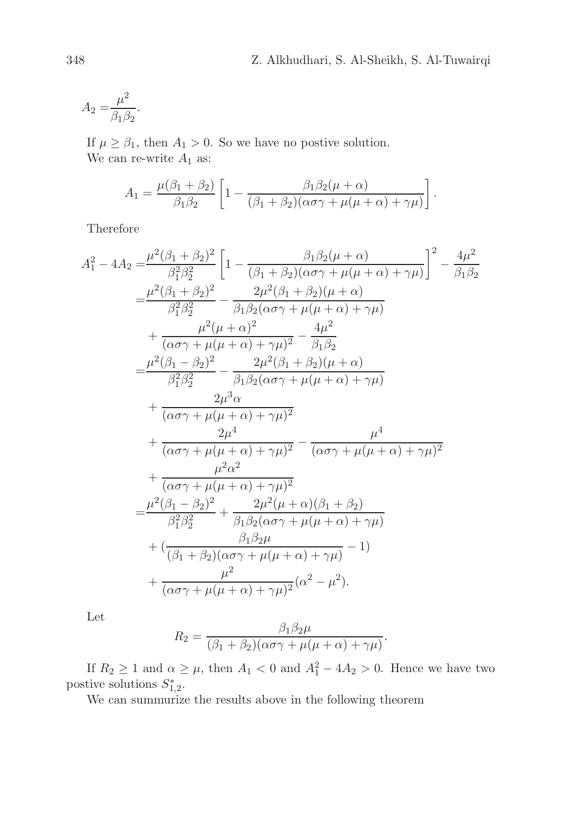$$
A_2 = \frac{\mu^2}{\beta_1 \beta_2}.
$$

If  $\mu \geq \beta_1$ , then  $A_1 > 0$ . So we have no postive solution. We can re-write  $A_1$  as:

$$
A_1 = \frac{\mu(\beta_1 + \beta_2)}{\beta_1 \beta_2} \left[ 1 - \frac{\beta_1 \beta_2 (\mu + \alpha)}{(\beta_1 + \beta_2)(\alpha \sigma \gamma + \mu(\mu + \alpha) + \gamma \mu)} \right].
$$

Therefore

$$
A_{1}^{2} - 4A_{2} = \frac{\mu^{2}(\beta_{1} + \beta_{2})^{2}}{\beta_{1}^{2}\beta_{2}^{2}} \left[ 1 - \frac{\beta_{1}\beta_{2}(\mu + \alpha)}{(\beta_{1} + \beta_{2})(\alpha\sigma\gamma + \mu(\mu + \alpha) + \gamma\mu)} \right]^{2} - \frac{4\mu^{2}}{\beta_{1}\beta_{2}}
$$
  
\n
$$
= \frac{\mu^{2}(\beta_{1} + \beta_{2})^{2}}{\beta_{1}^{2}\beta_{2}^{2}} - \frac{2\mu^{2}(\beta_{1} + \beta_{2})(\mu + \alpha)}{\beta_{1}\beta_{2}(\alpha\sigma\gamma + \mu(\mu + \alpha) + \gamma\mu)} + \frac{\mu^{2}(\mu + \alpha)^{2}}{(\alpha\sigma\gamma + \mu(\mu + \alpha) + \gamma\mu)^{2}} - \frac{4\mu^{2}}{\beta_{1}\beta_{2}}
$$
  
\n
$$
= \frac{\mu^{2}(\beta_{1} - \beta_{2})^{2}}{\beta_{1}^{2}\beta_{2}^{2}} - \frac{2\mu^{2}(\beta_{1} + \beta_{2})(\mu + \alpha)}{\beta_{1}\beta_{2}(\alpha\sigma\gamma + \mu(\mu + \alpha) + \gamma\mu)} + \frac{2\mu^{3}\alpha}{(\alpha\sigma\gamma + \mu(\mu + \alpha) + \gamma\mu)^{2}} + \frac{2\mu^{4}}{(\alpha\sigma\gamma + \mu(\mu + \alpha) + \gamma\mu)^{2}} - \frac{\mu^{4}}{(\alpha\sigma\gamma + \mu(\mu + \alpha) + \gamma\mu)^{2}} + \frac{\mu^{2}\alpha^{2}}{(\alpha\sigma\gamma + \mu(\mu + \alpha) + \gamma\mu)^{2}} + \frac{\mu^{2}\alpha^{2}}{(\beta_{1} - \beta_{2})^{2}} + \frac{2\mu^{2}(\mu + \alpha)(\beta_{1} + \beta_{2})}{\beta_{1}^{2}\beta_{2}^{2}} - \frac{2\mu^{2}(\mu + \alpha)(\beta_{1} + \beta_{2})}{\beta_{1}\beta_{2}(\alpha\sigma\gamma + \mu(\mu + \alpha) + \gamma\mu)} + (\frac{\beta_{1}\beta_{2}\mu}{(\beta_{1} + \beta_{2})(\alpha\sigma\gamma + \mu(\mu + \alpha) + \gamma\mu)} - 1) + \frac{\mu^{2}}{(\alpha\sigma\gamma + \mu(\mu + \alpha) + \gamma\mu)^{2}}(\alpha^{2
$$

Let

$$
R_2 = \frac{\beta_1 \beta_2 \mu}{(\beta_1 + \beta_2)(\alpha \sigma \gamma + \mu(\mu + \alpha) + \gamma \mu)}.
$$

If  $R_2 \geq 1$  and  $\alpha \geq \mu$ , then  $A_1 < 0$  and  $A_1^2 - 4A_2 > 0$ . Hence we have two postive solutions  $S_{1,2}^*$ .

We can summurize the results above in the following theorem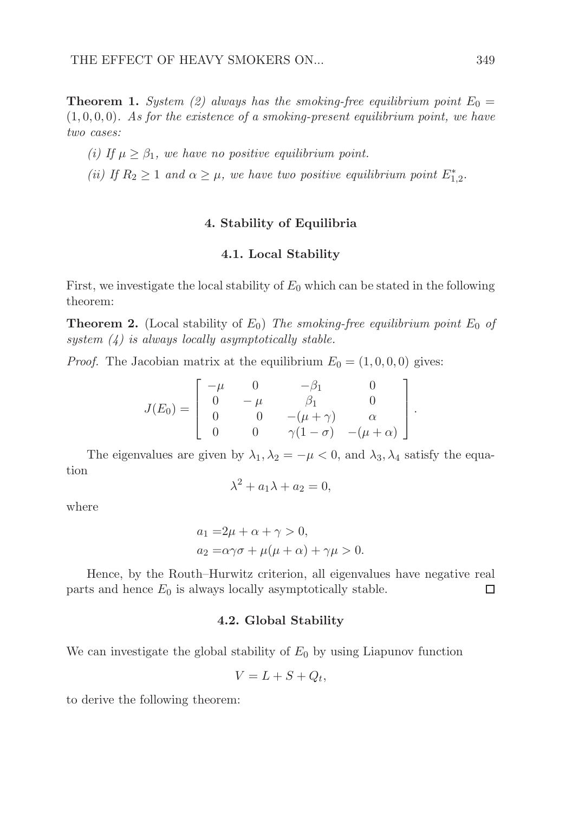**Theorem 1.** *System (2) always has the smoking-free equilibrium point*  $E_0 =$ (1, 0, 0, 0)*. As for the existence of a smoking-present equilibrium point, we have two cases:*

*(i) If*  $\mu \geq \beta_1$ *, we have no positive equilibrium point.* 

(*ii*) If  $R_2 \geq 1$  and  $\alpha \geq \mu$ , we have two positive equilibrium point  $E_{1,2}^*$ .

## 4. Stability of Equilibria

#### 4.1. Local Stability

First, we investigate the local stability of  $E_0$  which can be stated in the following theorem:

**Theorem 2.** (Local stability of  $E_0$ ) *The smoking-free equilibrium point*  $E_0$  *of system (4) is always locally asymptotically stable.*

*Proof.* The Jacobian matrix at the equilibrium  $E_0 = (1, 0, 0, 0)$  gives:

$$
J(E_0) = \begin{bmatrix} -\mu & 0 & -\beta_1 & 0 \\ 0 & -\mu & \beta_1 & 0 \\ 0 & 0 & -(\mu + \gamma) & \alpha \\ 0 & 0 & \gamma(1 - \sigma) & -(\mu + \alpha) \end{bmatrix}
$$

.

The eigenvalues are given by  $\lambda_1, \lambda_2 = -\mu < 0$ , and  $\lambda_3, \lambda_4$  satisfy the equation

$$
\lambda^2 + a_1 \lambda + a_2 = 0,
$$

where

$$
a_1 = 2\mu + \alpha + \gamma > 0,
$$
  
\n
$$
a_2 = \alpha\gamma\sigma + \mu(\mu + \alpha) + \gamma\mu > 0.
$$

Hence, by the Routh–Hurwitz criterion, all eigenvalues have negative real parts and hence  $E_0$  is always locally asymptotically stable. □

### 4.2. Global Stability

We can investigate the global stability of  $E_0$  by using Liapunov function

$$
V = L + S + Q_t,
$$

to derive the following theorem: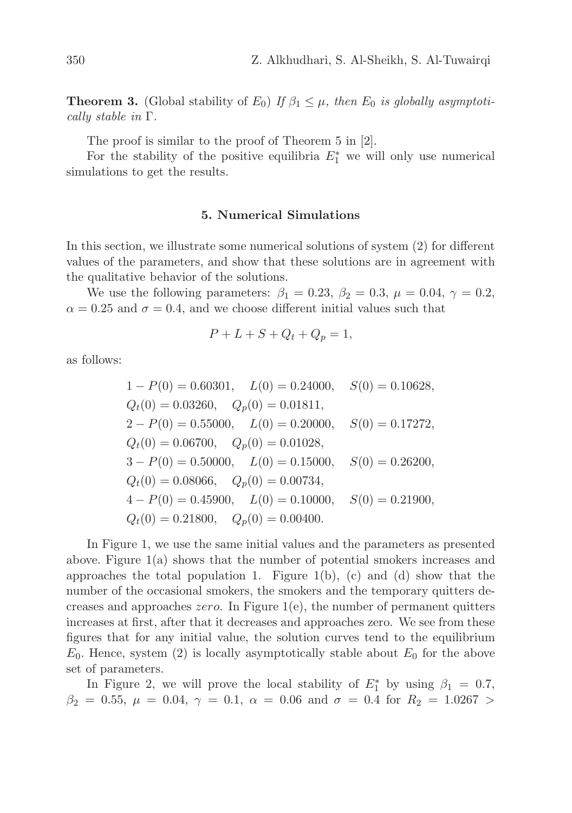**Theorem 3.** (Global stability of  $E_0$ ) *If*  $\beta_1 \leq \mu$ *, then*  $E_0$  *is globally asymptotically stable in* Γ*.*

The proof is similar to the proof of Theorem 5 in [2].

For the stability of the positive equilibria  $E_1^*$  we will only use numerical simulations to get the results.

#### 5. Numerical Simulations

In this section, we illustrate some numerical solutions of system (2) for different values of the parameters, and show that these solutions are in agreement with the qualitative behavior of the solutions.

We use the following parameters:  $\beta_1 = 0.23$ ,  $\beta_2 = 0.3$ ,  $\mu = 0.04$ ,  $\gamma = 0.2$ ,  $\alpha = 0.25$  and  $\sigma = 0.4$ , and we choose different initial values such that

$$
P + L + S + Q_t + Q_p = 1,
$$

as follows:

$$
1 - P(0) = 0.60301, L(0) = 0.24000, S(0) = 0.10628,
$$
  
\n
$$
Q_t(0) = 0.03260, Q_p(0) = 0.01811,
$$
  
\n
$$
2 - P(0) = 0.55000, L(0) = 0.20000, S(0) = 0.17272,
$$
  
\n
$$
Q_t(0) = 0.06700, Q_p(0) = 0.01028,
$$
  
\n
$$
3 - P(0) = 0.50000, L(0) = 0.15000, S(0) = 0.26200,
$$
  
\n
$$
Q_t(0) = 0.08066, Q_p(0) = 0.00734,
$$
  
\n
$$
4 - P(0) = 0.45900, L(0) = 0.10000, S(0) = 0.21900,
$$
  
\n
$$
Q_t(0) = 0.21800, Q_p(0) = 0.00400.
$$

In Figure 1, we use the same initial values and the parameters as presented above. Figure 1(a) shows that the number of potential smokers increases and approaches the total population 1. Figure 1(b), (c) and (d) show that the number of the occasional smokers, the smokers and the temporary quitters decreases and approaches *zero*. In Figure 1(e), the number of permanent quitters increases at first, after that it decreases and approaches zero. We see from these figures that for any initial value, the solution curves tend to the equilibrium  $E_0$ . Hence, system (2) is locally asymptotically stable about  $E_0$  for the above set of parameters.

In Figure 2, we will prove the local stability of  $E_1^*$  by using  $\beta_1 = 0.7$ ,  $\beta_2 = 0.55, \mu = 0.04, \gamma = 0.1, \alpha = 0.06 \text{ and } \sigma = 0.4 \text{ for } R_2 = 1.0267 >$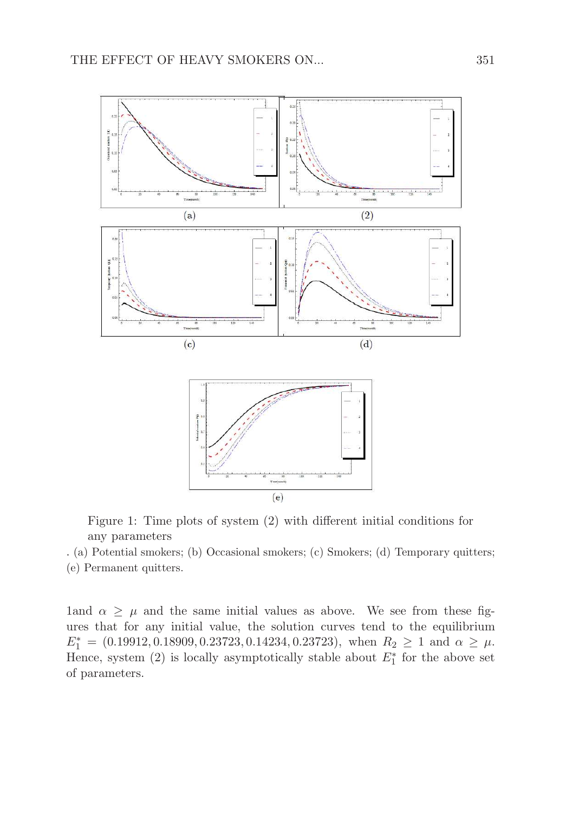

Figure 1: Time plots of system (2) with different initial conditions for any parameters

. (a) Potential smokers; (b) Occasional smokers; (c) Smokers; (d) Temporary quitters; (e) Permanent quitters.

1and  $\alpha \geq \mu$  and the same initial values as above. We see from these figures that for any initial value, the solution curves tend to the equilibrium  $E_1^* = (0.19912, 0.18909, 0.23723, 0.14234, 0.23723), \text{ when } R_2 \geq 1 \text{ and } \alpha \geq \mu.$ Hence, system (2) is locally asymptotically stable about  $E_1^*$  for the above set of parameters.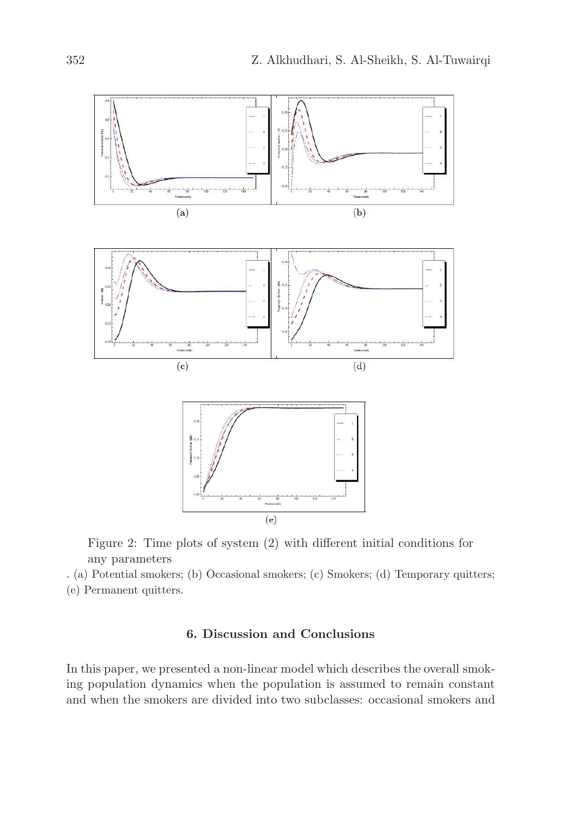

Figure 2: Time plots of system (2) with different initial conditions for any parameters

. (a) Potential smokers; (b) Occasional smokers; (c) Smokers; (d) Temporary quitters; (e) Permanent quitters.

## 6. Discussion and Conclusions

In this paper, we presented a non-linear model which describes the overall smoking population dynamics when the population is assumed to remain constant and when the smokers are divided into two subclasses: occasional smokers and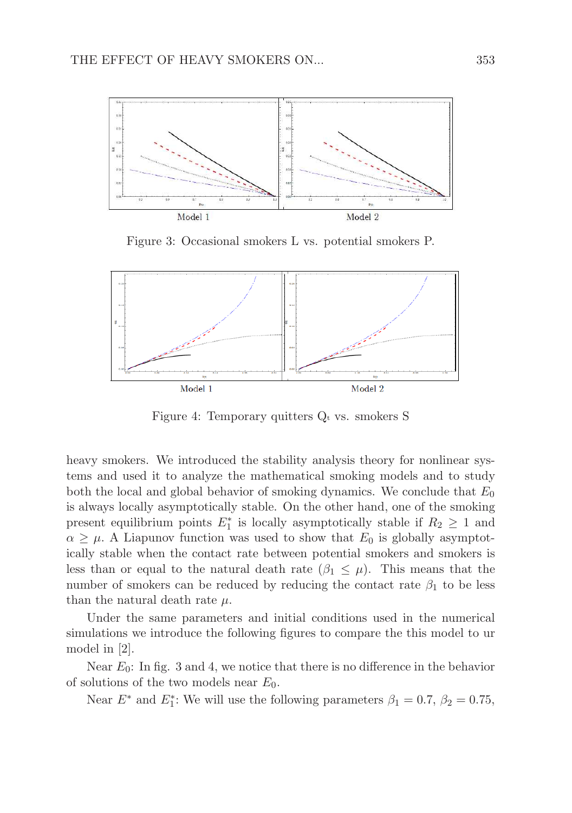

Figure 3: Occasional smokers L vs. potential smokers P.



Figure 4: Temporary quitters  $Q_t$  vs. smokers S

heavy smokers. We introduced the stability analysis theory for nonlinear systems and used it to analyze the mathematical smoking models and to study both the local and global behavior of smoking dynamics. We conclude that  $E_0$ is always locally asymptotically stable. On the other hand, one of the smoking present equilibrium points  $E_1^*$  is locally asymptotically stable if  $R_2 \geq 1$  and  $\alpha \geq \mu$ . A Liapunov function was used to show that  $E_0$  is globally asymptotically stable when the contact rate between potential smokers and smokers is less than or equal to the natural death rate  $(\beta_1 \leq \mu)$ . This means that the number of smokers can be reduced by reducing the contact rate  $\beta_1$  to be less than the natural death rate  $\mu$ .

Under the same parameters and initial conditions used in the numerical simulations we introduce the following figures to compare the this model to ur model in [2].

Near  $E_0$ : In fig. 3 and 4, we notice that there is no difference in the behavior of solutions of the two models near  $E_0$ .

Near  $E^*$  and  $E_1^*$ : We will use the following parameters  $\beta_1 = 0.7$ ,  $\beta_2 = 0.75$ ,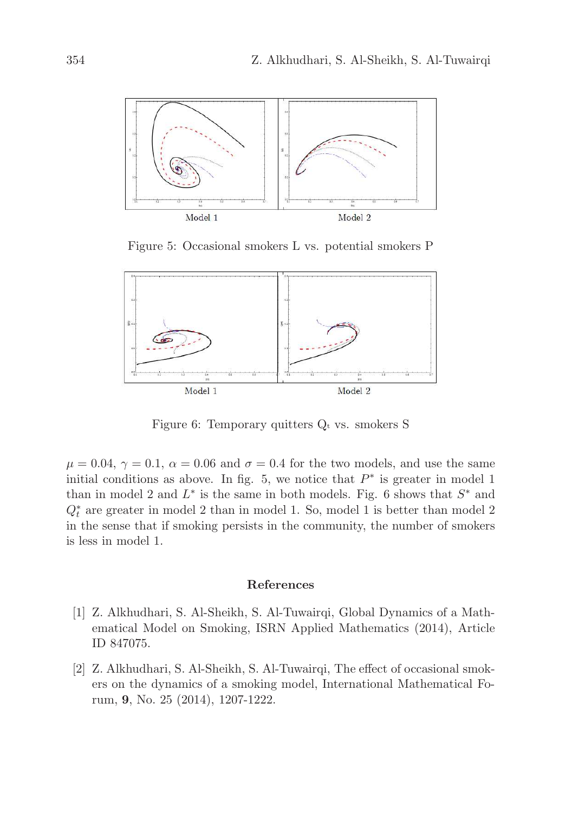

Figure 5: Occasional smokers L vs. potential smokers P



Figure 6: Temporary quitters  $Q_t$  vs. smokers S

 $\mu = 0.04$ ,  $\gamma = 0.1$ ,  $\alpha = 0.06$  and  $\sigma = 0.4$  for the two models, and use the same initial conditions as above. In fig. 5, we notice that  $P^*$  is greater in model 1 than in model 2 and  $L^*$  is the same in both models. Fig. 6 shows that  $S^*$  and  $Q_t^\ast$  are greater in model 2 than in model 1. So, model 1 is better than model 2 in the sense that if smoking persists in the community, the number of smokers is less in model 1.

#### References

- [1] Z. Alkhudhari, S. Al-Sheikh, S. Al-Tuwairqi, Global Dynamics of a Mathematical Model on Smoking, ISRN Applied Mathematics (2014), Article ID 847075.
- [2] Z. Alkhudhari, S. Al-Sheikh, S. Al-Tuwairqi, The effect of occasional smokers on the dynamics of a smoking model, International Mathematical Forum, 9, No. 25 (2014), 1207-1222.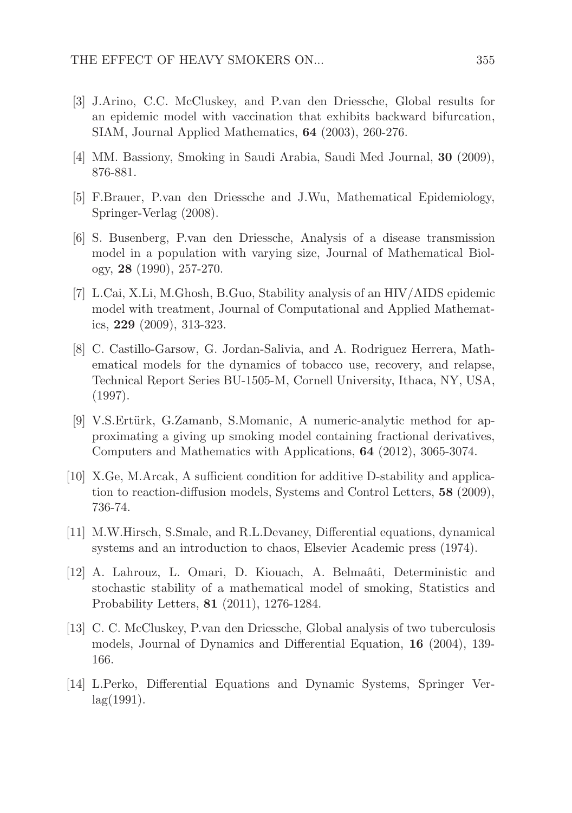- [3] J.Arino, C.C. McCluskey, and P.van den Driessche, Global results for an epidemic model with vaccination that exhibits backward bifurcation, SIAM, Journal Applied Mathematics, 64 (2003), 260-276.
- [4] MM. Bassiony, Smoking in Saudi Arabia, Saudi Med Journal, 30 (2009), 876-881.
- [5] F.Brauer, P.van den Driessche and J.Wu, Mathematical Epidemiology, Springer-Verlag (2008).
- [6] S. Busenberg, P.van den Driessche, Analysis of a disease transmission model in a population with varying size, Journal of Mathematical Biology, 28 (1990), 257-270.
- [7] L.Cai, X.Li, M.Ghosh, B.Guo, Stability analysis of an HIV/AIDS epidemic model with treatment, Journal of Computational and Applied Mathematics, 229 (2009), 313-323.
- [8] C. Castillo-Garsow, G. Jordan-Salivia, and A. Rodriguez Herrera, Mathematical models for the dynamics of tobacco use, recovery, and relapse, Technical Report Series BU-1505-M, Cornell University, Ithaca, NY, USA, (1997).
- [9] V.S.Ertürk, G.Zamanb, S.Momanic, A numeric-analytic method for approximating a giving up smoking model containing fractional derivatives, Computers and Mathematics with Applications, 64 (2012), 3065-3074.
- [10] X.Ge, M.Arcak, A sufficient condition for additive D-stability and application to reaction-diffusion models, Systems and Control Letters, 58 (2009), 736-74.
- [11] M.W.Hirsch, S.Smale, and R.L.Devaney, Differential equations, dynamical systems and an introduction to chaos, Elsevier Academic press (1974).
- [12] A. Lahrouz, L. Omari, D. Kiouach, A. Belmaâti, Deterministic and stochastic stability of a mathematical model of smoking, Statistics and Probability Letters, 81 (2011), 1276-1284.
- [13] C. C. McCluskey, P.van den Driessche, Global analysis of two tuberculosis models, Journal of Dynamics and Differential Equation, 16 (2004), 139- 166.
- [14] L.Perko, Differential Equations and Dynamic Systems, Springer Ver $lag(1991).$